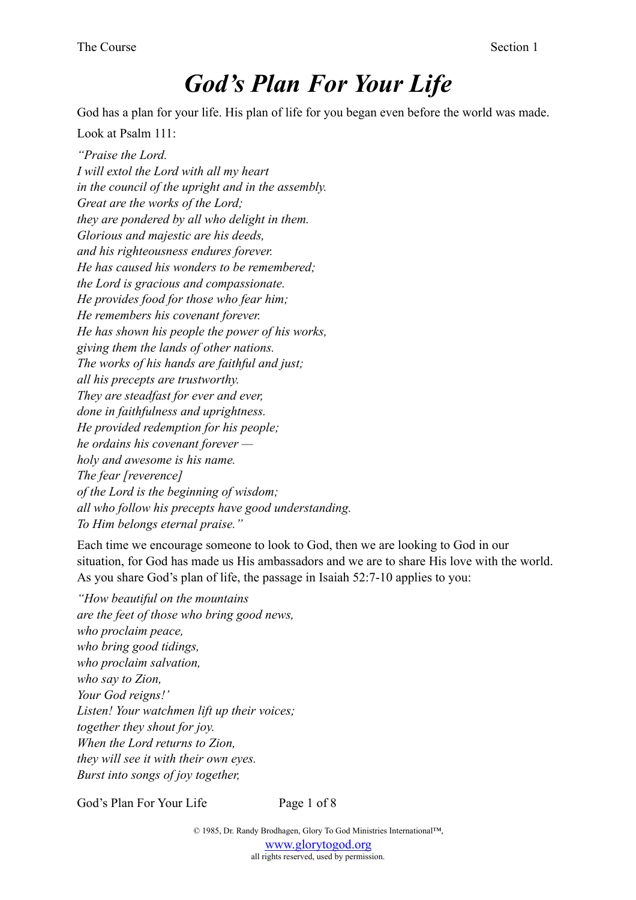# *God's Plan For Your Life*

God has a plan for your life. His plan of life for you began even before the world was made.

Look at Psalm 111:

*"Praise the Lord. I will extol the Lord with all my heart in the council of the upright and in the assembly. Great are the works of the Lord; they are pondered by all who delight in them. Glorious and majestic are his deeds, and his righteousness endures forever. He has caused his wonders to be remembered; the Lord is gracious and compassionate. He provides food for those who fear him; He remembers his covenant forever. He has shown his people the power of his works, giving them the lands of other nations. The works of his hands are faithful and just; all his precepts are trustworthy. They are steadfast for ever and ever, done in faithfulness and uprightness. He provided redemption for his people; he ordains his covenant forever holy and awesome is his name. The fear [reverence] of the Lord is the beginning of wisdom; all who follow his precepts have good understanding. To Him belongs eternal praise."*

Each time we encourage someone to look to God, then we are looking to God in our situation, for God has made us His ambassadors and we are to share His love with the world. As you share God's plan of life, the passage in Isaiah 52:7-10 applies to you:

*"How beautiful on the mountains are the feet of those who bring good news, who proclaim peace, who bring good tidings, who proclaim salvation, who say to Zion, Your God reigns!' Listen! Your watchmen lift up their voices; together they shout for joy. When the Lord returns to Zion, they will see it with their own eyes. Burst into songs of joy together,* 

God's Plan For Your Life Page 1 of 8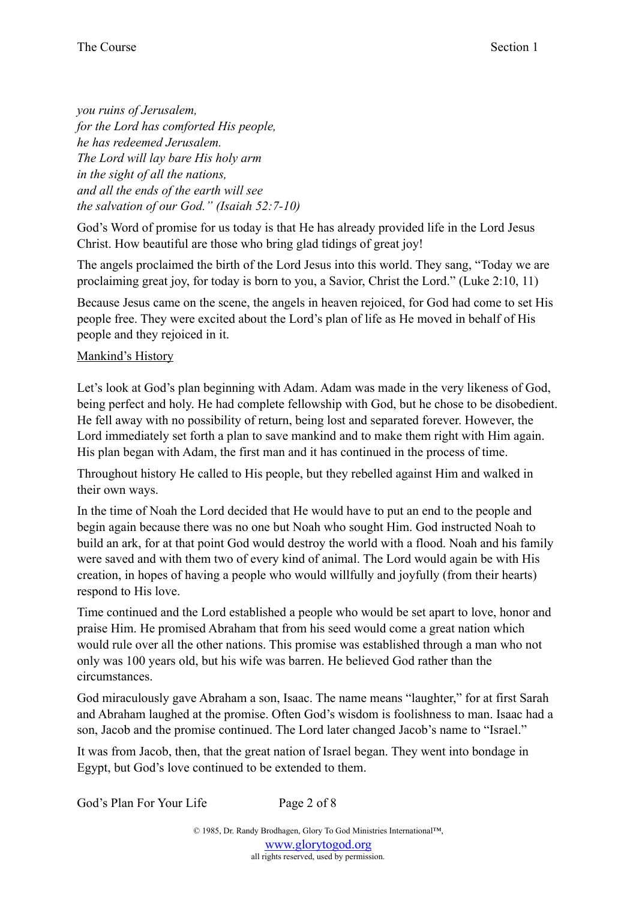*you ruins of Jerusalem, for the Lord has comforted His people, he has redeemed Jerusalem. The Lord will lay bare His holy arm in the sight of all the nations, and all the ends of the earth will see the salvation of our God." (Isaiah 52:7-10)* 

God's Word of promise for us today is that He has already provided life in the Lord Jesus Christ. How beautiful are those who bring glad tidings of great joy!

The angels proclaimed the birth of the Lord Jesus into this world. They sang, "Today we are proclaiming great joy, for today is born to you, a Savior, Christ the Lord." (Luke 2:10, 11)

Because Jesus came on the scene, the angels in heaven rejoiced, for God had come to set His people free. They were excited about the Lord's plan of life as He moved in behalf of His people and they rejoiced in it.

## Mankind's History

Let's look at God's plan beginning with Adam. Adam was made in the very likeness of God, being perfect and holy. He had complete fellowship with God, but he chose to be disobedient. He fell away with no possibility of return, being lost and separated forever. However, the Lord immediately set forth a plan to save mankind and to make them right with Him again. His plan began with Adam, the first man and it has continued in the process of time.

Throughout history He called to His people, but they rebelled against Him and walked in their own ways.

In the time of Noah the Lord decided that He would have to put an end to the people and begin again because there was no one but Noah who sought Him. God instructed Noah to build an ark, for at that point God would destroy the world with a flood. Noah and his family were saved and with them two of every kind of animal. The Lord would again be with His creation, in hopes of having a people who would willfully and joyfully (from their hearts) respond to His love.

Time continued and the Lord established a people who would be set apart to love, honor and praise Him. He promised Abraham that from his seed would come a great nation which would rule over all the other nations. This promise was established through a man who not only was 100 years old, but his wife was barren. He believed God rather than the circumstances.

God miraculously gave Abraham a son, Isaac. The name means "laughter," for at first Sarah and Abraham laughed at the promise. Often God's wisdom is foolishness to man. Isaac had a son, Jacob and the promise continued. The Lord later changed Jacob's name to "Israel."

It was from Jacob, then, that the great nation of Israel began. They went into bondage in Egypt, but God's love continued to be extended to them.

God's Plan For Your Life Page 2 of 8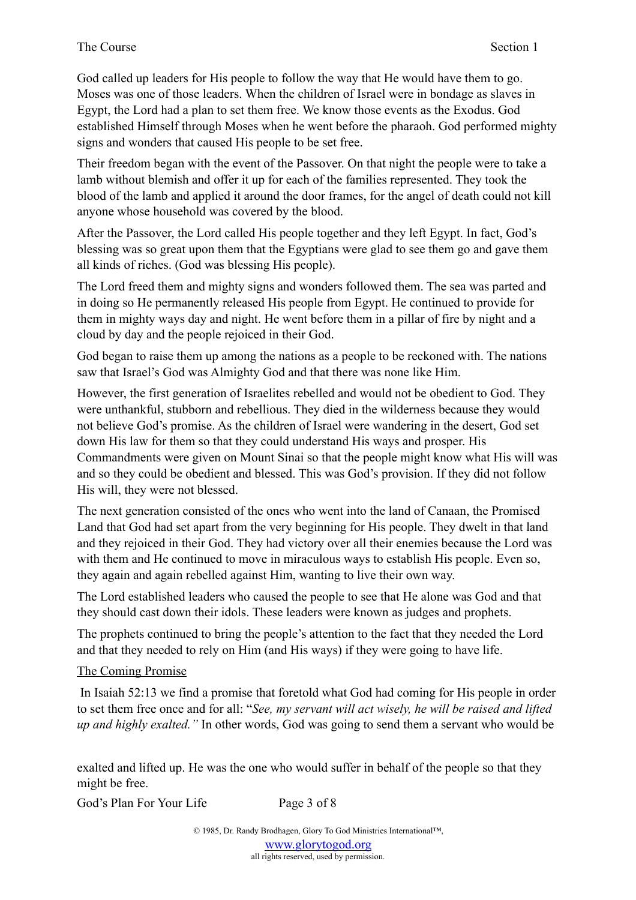God called up leaders for His people to follow the way that He would have them to go. Moses was one of those leaders. When the children of Israel were in bondage as slaves in Egypt, the Lord had a plan to set them free. We know those events as the Exodus. God established Himself through Moses when he went before the pharaoh. God performed mighty signs and wonders that caused His people to be set free.

Their freedom began with the event of the Passover. On that night the people were to take a lamb without blemish and offer it up for each of the families represented. They took the blood of the lamb and applied it around the door frames, for the angel of death could not kill anyone whose household was covered by the blood.

After the Passover, the Lord called His people together and they left Egypt. In fact, God's blessing was so great upon them that the Egyptians were glad to see them go and gave them all kinds of riches. (God was blessing His people).

The Lord freed them and mighty signs and wonders followed them. The sea was parted and in doing so He permanently released His people from Egypt. He continued to provide for them in mighty ways day and night. He went before them in a pillar of fire by night and a cloud by day and the people rejoiced in their God.

God began to raise them up among the nations as a people to be reckoned with. The nations saw that Israel's God was Almighty God and that there was none like Him.

However, the first generation of Israelites rebelled and would not be obedient to God. They were unthankful, stubborn and rebellious. They died in the wilderness because they would not believe God's promise. As the children of Israel were wandering in the desert, God set down His law for them so that they could understand His ways and prosper. His Commandments were given on Mount Sinai so that the people might know what His will was and so they could be obedient and blessed. This was God's provision. If they did not follow His will, they were not blessed.

The next generation consisted of the ones who went into the land of Canaan, the Promised Land that God had set apart from the very beginning for His people. They dwelt in that land and they rejoiced in their God. They had victory over all their enemies because the Lord was with them and He continued to move in miraculous ways to establish His people. Even so, they again and again rebelled against Him, wanting to live their own way.

The Lord established leaders who caused the people to see that He alone was God and that they should cast down their idols. These leaders were known as judges and prophets.

The prophets continued to bring the people's attention to the fact that they needed the Lord and that they needed to rely on Him (and His ways) if they were going to have life.

# The Coming Promise

 In Isaiah 52:13 we find a promise that foretold what God had coming for His people in order to set them free once and for all: "*See, my servant will act wisely, he will be raised and lifted up and highly exalted."* In other words, God was going to send them a servant who would be

exalted and lifted up. He was the one who would suffer in behalf of the people so that they might be free.

God's Plan For Your Life Page 3 of 8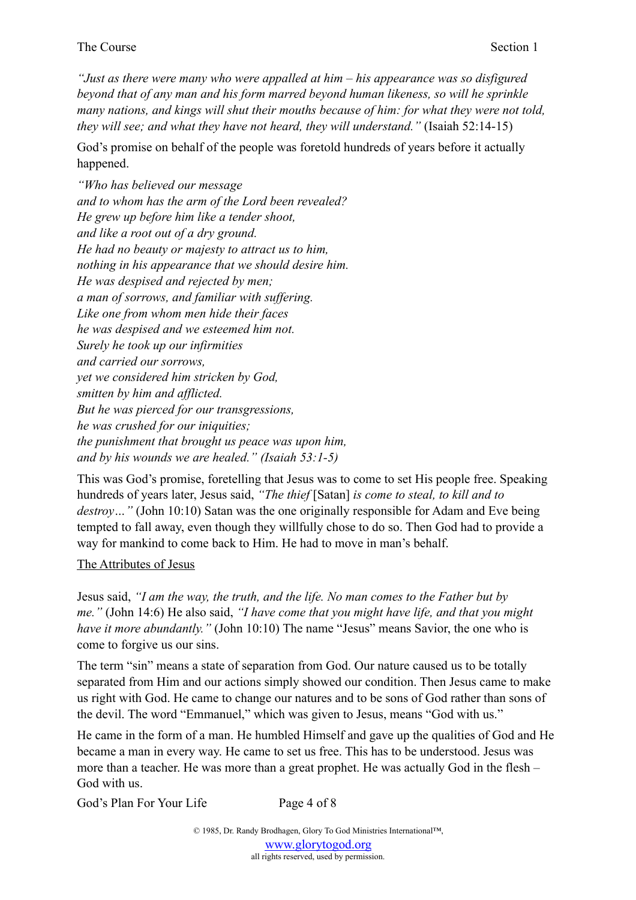#### The Course Section 1

*"Just as there were many who were appalled at him – his appearance was so disfigured beyond that of any man and his form marred beyond human likeness, so will he sprinkle many nations, and kings will shut their mouths because of him: for what they were not told, they will see; and what they have not heard, they will understand."* (Isaiah 52:14-15)

God's promise on behalf of the people was foretold hundreds of years before it actually happened.

*"Who has believed our message and to whom has the arm of the Lord been revealed? He grew up before him like a tender shoot, and like a root out of a dry ground. He had no beauty or majesty to attract us to him, nothing in his appearance that we should desire him. He was despised and rejected by men; a man of sorrows, and familiar with suffering. Like one from whom men hide their faces he was despised and we esteemed him not. Surely he took up our infirmities and carried our sorrows, yet we considered him stricken by God, smitten by him and afflicted. But he was pierced for our transgressions, he was crushed for our iniquities; the punishment that brought us peace was upon him, and by his wounds we are healed." (Isaiah 53:1-5)*

This was God's promise, foretelling that Jesus was to come to set His people free. Speaking hundreds of years later, Jesus said, *"The thief* [Satan] *is come to steal, to kill and to destroy…"* (John 10:10) Satan was the one originally responsible for Adam and Eve being tempted to fall away, even though they willfully chose to do so. Then God had to provide a way for mankind to come back to Him. He had to move in man's behalf.

#### The Attributes of Jesus

Jesus said, *"I am the way, the truth, and the life. No man comes to the Father but by me."* (John 14:6) He also said, *"I have come that you might have life, and that you might have it more abundantly.*" (John 10:10) The name "Jesus" means Savior, the one who is come to forgive us our sins.

The term "sin" means a state of separation from God. Our nature caused us to be totally separated from Him and our actions simply showed our condition. Then Jesus came to make us right with God. He came to change our natures and to be sons of God rather than sons of the devil. The word "Emmanuel," which was given to Jesus, means "God with us."

He came in the form of a man. He humbled Himself and gave up the qualities of God and He became a man in every way. He came to set us free. This has to be understood. Jesus was more than a teacher. He was more than a great prophet. He was actually God in the flesh – God with us.

God's Plan For Your Life Page 4 of 8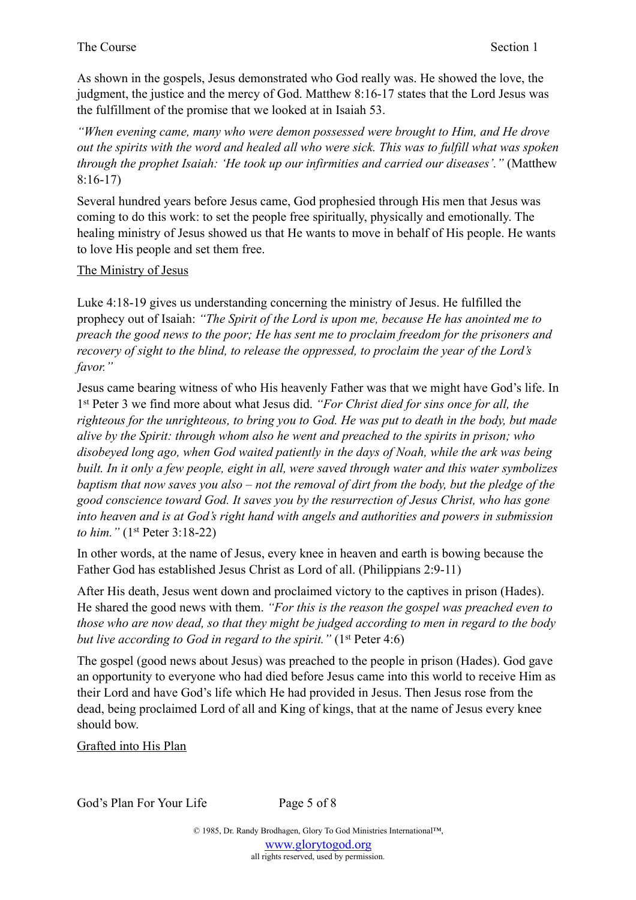## The Course Section 1

As shown in the gospels, Jesus demonstrated who God really was. He showed the love, the judgment, the justice and the mercy of God. Matthew 8:16-17 states that the Lord Jesus was the fulfillment of the promise that we looked at in Isaiah 53.

*"When evening came, many who were demon possessed were brought to Him, and He drove out the spirits with the word and healed all who were sick. This was to fulfill what was spoken through the prophet Isaiah: 'He took up our infirmities and carried our diseases'."* (Matthew 8:16-17)

Several hundred years before Jesus came, God prophesied through His men that Jesus was coming to do this work: to set the people free spiritually, physically and emotionally. The healing ministry of Jesus showed us that He wants to move in behalf of His people. He wants to love His people and set them free.

# The Ministry of Jesus

Luke 4:18-19 gives us understanding concerning the ministry of Jesus. He fulfilled the prophecy out of Isaiah: *"The Spirit of the Lord is upon me, because He has anointed me to preach the good news to the poor; He has sent me to proclaim freedom for the prisoners and recovery of sight to the blind, to release the oppressed, to proclaim the year of the Lord's favor."* 

Jesus came bearing witness of who His heavenly Father was that we might have God's life. In 1st Peter 3 we find more about what Jesus did. *"For Christ died for sins once for all, the righteous for the unrighteous, to bring you to God. He was put to death in the body, but made alive by the Spirit: through whom also he went and preached to the spirits in prison; who disobeyed long ago, when God waited patiently in the days of Noah, while the ark was being built. In it only a few people, eight in all, were saved through water and this water symbolizes baptism that now saves you also – not the removal of dirt from the body, but the pledge of the good conscience toward God. It saves you by the resurrection of Jesus Christ, who has gone into heaven and is at God's right hand with angels and authorities and powers in submission to him."* (1st Peter 3:18-22)

In other words, at the name of Jesus, every knee in heaven and earth is bowing because the Father God has established Jesus Christ as Lord of all. (Philippians 2:9-11)

After His death, Jesus went down and proclaimed victory to the captives in prison (Hades). He shared the good news with them. *"For this is the reason the gospel was preached even to those who are now dead, so that they might be judged according to men in regard to the body but live according to God in regard to the spirit."* (1<sup>st</sup> Peter 4:6)

The gospel (good news about Jesus) was preached to the people in prison (Hades). God gave an opportunity to everyone who had died before Jesus came into this world to receive Him as their Lord and have God's life which He had provided in Jesus. Then Jesus rose from the dead, being proclaimed Lord of all and King of kings, that at the name of Jesus every knee should bow.

Grafted into His Plan

God's Plan For Your Life Page 5 of 8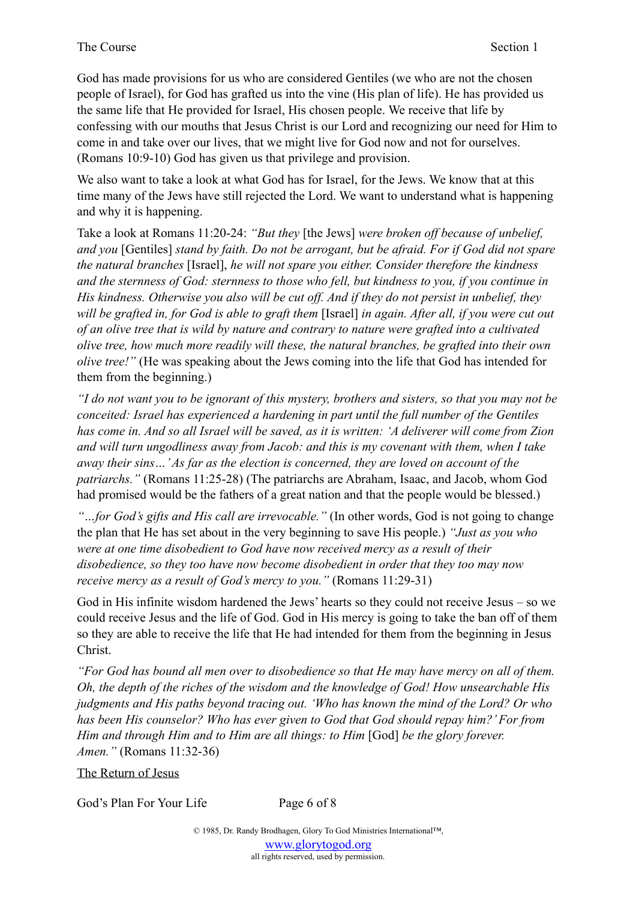God has made provisions for us who are considered Gentiles (we who are not the chosen people of Israel), for God has grafted us into the vine (His plan of life). He has provided us the same life that He provided for Israel, His chosen people. We receive that life by confessing with our mouths that Jesus Christ is our Lord and recognizing our need for Him to come in and take over our lives, that we might live for God now and not for ourselves. (Romans 10:9-10) God has given us that privilege and provision.

We also want to take a look at what God has for Israel, for the Jews. We know that at this time many of the Jews have still rejected the Lord. We want to understand what is happening and why it is happening.

Take a look at Romans 11:20-24: *"But they* [the Jews] *were broken off because of unbelief, and you* [Gentiles] *stand by faith. Do not be arrogant, but be afraid. For if God did not spare the natural branches* [Israel], *he will not spare you either. Consider therefore the kindness and the sternness of God: sternness to those who fell, but kindness to you, if you continue in His kindness. Otherwise you also will be cut off. And if they do not persist in unbelief, they will be grafted in, for God is able to graft them* [Israel] *in again. After all, if you were cut out of an olive tree that is wild by nature and contrary to nature were grafted into a cultivated olive tree, how much more readily will these, the natural branches, be grafted into their own olive tree!"* (He was speaking about the Jews coming into the life that God has intended for them from the beginning.)

*"I do not want you to be ignorant of this mystery, brothers and sisters, so that you may not be conceited: Israel has experienced a hardening in part until the full number of the Gentiles has come in. And so all Israel will be saved, as it is written: 'A deliverer will come from Zion and will turn ungodliness away from Jacob: and this is my covenant with them, when I take away their sins…' As far as the election is concerned, they are loved on account of the patriarchs."* (Romans 11:25-28) (The patriarchs are Abraham, Isaac, and Jacob, whom God had promised would be the fathers of a great nation and that the people would be blessed.)

*"…for God's gifts and His call are irrevocable."* (In other words, God is not going to change the plan that He has set about in the very beginning to save His people.) *"Just as you who were at one time disobedient to God have now received mercy as a result of their disobedience, so they too have now become disobedient in order that they too may now receive mercy as a result of God's mercy to you."* (Romans 11:29-31)

God in His infinite wisdom hardened the Jews' hearts so they could not receive Jesus – so we could receive Jesus and the life of God. God in His mercy is going to take the ban off of them so they are able to receive the life that He had intended for them from the beginning in Jesus Christ.

*"For God has bound all men over to disobedience so that He may have mercy on all of them. Oh, the depth of the riches of the wisdom and the knowledge of God! How unsearchable His judgments and His paths beyond tracing out. 'Who has known the mind of the Lord? Or who has been His counselor? Who has ever given to God that God should repay him?' For from Him and through Him and to Him are all things: to Him* [God] *be the glory forever. Amen."* (Romans 11:32-36)

The Return of Jesus

God's Plan For Your Life Page 6 of 8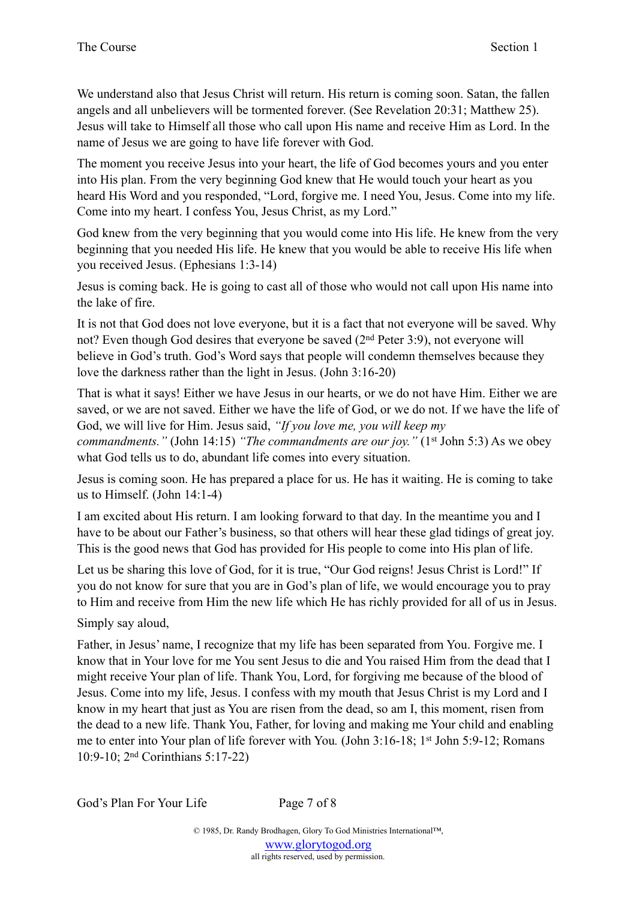We understand also that Jesus Christ will return. His return is coming soon. Satan, the fallen angels and all unbelievers will be tormented forever. (See Revelation 20:31; Matthew 25). Jesus will take to Himself all those who call upon His name and receive Him as Lord. In the name of Jesus we are going to have life forever with God.

The moment you receive Jesus into your heart, the life of God becomes yours and you enter into His plan. From the very beginning God knew that He would touch your heart as you heard His Word and you responded, "Lord, forgive me. I need You, Jesus. Come into my life. Come into my heart. I confess You, Jesus Christ, as my Lord."

God knew from the very beginning that you would come into His life. He knew from the very beginning that you needed His life. He knew that you would be able to receive His life when you received Jesus. (Ephesians 1:3-14)

Jesus is coming back. He is going to cast all of those who would not call upon His name into the lake of fire.

It is not that God does not love everyone, but it is a fact that not everyone will be saved. Why not? Even though God desires that everyone be saved (2nd Peter 3:9), not everyone will believe in God's truth. God's Word says that people will condemn themselves because they love the darkness rather than the light in Jesus. (John 3:16-20)

That is what it says! Either we have Jesus in our hearts, or we do not have Him. Either we are saved, or we are not saved. Either we have the life of God, or we do not. If we have the life of God, we will live for Him. Jesus said, *"If you love me, you will keep my* 

*commandments."* (John 14:15) *"The commandments are our joy."* (1<sup>st</sup> John 5:3) As we obey what God tells us to do, abundant life comes into every situation.

Jesus is coming soon. He has prepared a place for us. He has it waiting. He is coming to take us to Himself. (John 14:1-4)

I am excited about His return. I am looking forward to that day. In the meantime you and I have to be about our Father's business, so that others will hear these glad tidings of great joy. This is the good news that God has provided for His people to come into His plan of life.

Let us be sharing this love of God, for it is true, "Our God reigns! Jesus Christ is Lord!" If you do not know for sure that you are in God's plan of life, we would encourage you to pray to Him and receive from Him the new life which He has richly provided for all of us in Jesus.

Simply say aloud,

Father, in Jesus' name, I recognize that my life has been separated from You. Forgive me. I know that in Your love for me You sent Jesus to die and You raised Him from the dead that I might receive Your plan of life. Thank You, Lord, for forgiving me because of the blood of Jesus. Come into my life, Jesus. I confess with my mouth that Jesus Christ is my Lord and I know in my heart that just as You are risen from the dead, so am I, this moment, risen from the dead to a new life. Thank You, Father, for loving and making me Your child and enabling me to enter into Your plan of life forever with You*.* (John 3:16-18; 1st John 5:9-12; Romans 10:9-10; 2nd Corinthians 5:17-22)

God's Plan For Your Life Page 7 of 8